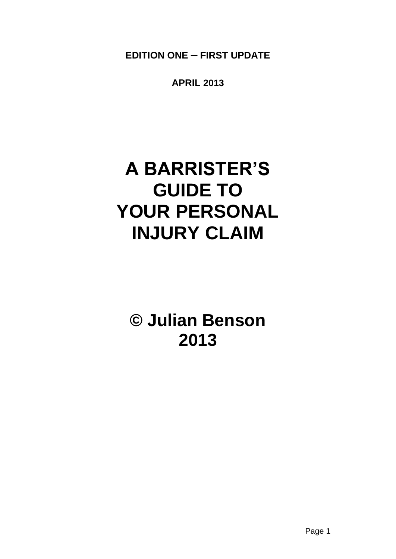**EDITION ONE – FIRST UPDATE**

**APRIL 2013**

# **A BARRISTER'S GUIDE TO YOUR PERSONAL INJURY CLAIM**

**© Julian Benson 2013**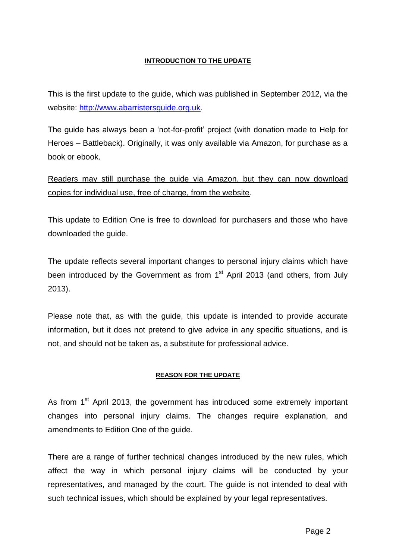## **INTRODUCTION TO THE UPDATE**

This is the first update to the guide, which was published in September 2012, via the website: [http://www.abarristersguide.org.uk.](http://www.abarristersguide.org.uk/)

The guide has always been a 'not-for-profit' project (with donation made to Help for Heroes – Battleback). Originally, it was only available via Amazon, for purchase as a book or ebook.

Readers may still purchase the guide via Amazon, but they can now download copies for individual use, free of charge, from the website.

This update to Edition One is free to download for purchasers and those who have downloaded the guide.

The update reflects several important changes to personal injury claims which have been introduced by the Government as from 1<sup>st</sup> April 2013 (and others, from July 2013).

Please note that, as with the guide, this update is intended to provide accurate information, but it does not pretend to give advice in any specific situations, and is not, and should not be taken as, a substitute for professional advice.

## **REASON FOR THE UPDATE**

As from 1<sup>st</sup> April 2013, the government has introduced some extremely important changes into personal injury claims. The changes require explanation, and amendments to Edition One of the guide.

There are a range of further technical changes introduced by the new rules, which affect the way in which personal injury claims will be conducted by your representatives, and managed by the court. The guide is not intended to deal with such technical issues, which should be explained by your legal representatives.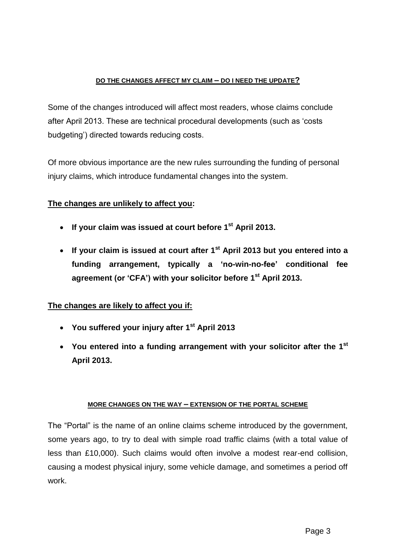## **DO THE CHANGES AFFECT MY CLAIM – DO I NEED THE UPDATE?**

Some of the changes introduced will affect most readers, whose claims conclude after April 2013. These are technical procedural developments (such as 'costs budgeting') directed towards reducing costs.

Of more obvious importance are the new rules surrounding the funding of personal injury claims, which introduce fundamental changes into the system.

# **The changes are unlikely to affect you:**

- **If your claim was issued at court before 1st April 2013.**
- **If your claim is issued at court after 1st April 2013 but you entered into a funding arrangement, typically a 'no-win-no-fee' conditional fee agreement (or 'CFA') with your solicitor before 1st April 2013.**

# **The changes are likely to affect you if:**

- **You suffered your injury after 1st April 2013**
- **You entered into a funding arrangement with your solicitor after the 1 st April 2013.**

## **MORE CHANGES ON THE WAY – EXTENSION OF THE PORTAL SCHEME**

The "Portal" is the name of an online claims scheme introduced by the government, some years ago, to try to deal with simple road traffic claims (with a total value of less than £10,000). Such claims would often involve a modest rear-end collision, causing a modest physical injury, some vehicle damage, and sometimes a period off work.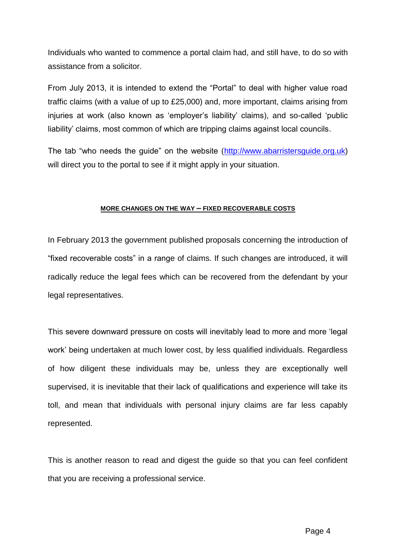Individuals who wanted to commence a portal claim had, and still have, to do so with assistance from a solicitor.

From July 2013, it is intended to extend the "Portal" to deal with higher value road traffic claims (with a value of up to £25,000) and, more important, claims arising from injuries at work (also known as 'employer's liability' claims), and so-called 'public liability' claims, most common of which are tripping claims against local councils.

The tab "who needs the guide" on the website [\(http://www.abarristersguide.org.uk\)](http://www.abarristersguide.org.uk/) will direct you to the portal to see if it might apply in your situation.

## **MORE CHANGES ON THE WAY – FIXED RECOVERABLE COSTS**

In February 2013 the government published proposals concerning the introduction of "fixed recoverable costs" in a range of claims. If such changes are introduced, it will radically reduce the legal fees which can be recovered from the defendant by your legal representatives.

This severe downward pressure on costs will inevitably lead to more and more 'legal work' being undertaken at much lower cost, by less qualified individuals. Regardless of how diligent these individuals may be, unless they are exceptionally well supervised, it is inevitable that their lack of qualifications and experience will take its toll, and mean that individuals with personal injury claims are far less capably represented.

This is another reason to read and digest the guide so that you can feel confident that you are receiving a professional service.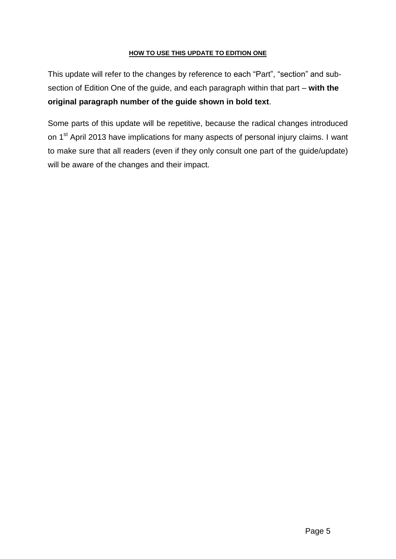## **HOW TO USE THIS UPDATE TO EDITION ONE**

This update will refer to the changes by reference to each "Part", "section" and subsection of Edition One of the guide, and each paragraph within that part – **with the original paragraph number of the guide shown in bold text**.

Some parts of this update will be repetitive, because the radical changes introduced on 1<sup>st</sup> April 2013 have implications for many aspects of personal injury claims. I want to make sure that all readers (even if they only consult one part of the guide/update) will be aware of the changes and their impact.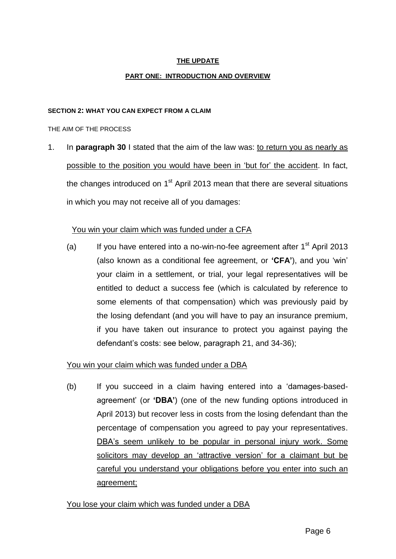## **THE UPDATE**

## **PART ONE: INTRODUCTION AND OVERVIEW**

#### **SECTION 2: WHAT YOU CAN EXPECT FROM A CLAIM**

#### THE AIM OF THE PROCESS

1. In **paragraph 30** I stated that the aim of the law was: to return you as nearly as possible to the position you would have been in 'but for' the accident. In fact, the changes introduced on  $1<sup>st</sup>$  April 2013 mean that there are several situations in which you may not receive all of you damages:

## You win your claim which was funded under a CFA

(a) If you have entered into a no-win-no-fee agreement after  $1<sup>st</sup>$  April 2013 (also known as a conditional fee agreement, or **'CFA'**), and you 'win' your claim in a settlement, or trial, your legal representatives will be entitled to deduct a success fee (which is calculated by reference to some elements of that compensation) which was previously paid by the losing defendant (and you will have to pay an insurance premium, if you have taken out insurance to protect you against paying the defendant's costs: see below, paragraph 21, and 34-36);

## You win your claim which was funded under a DBA

(b) If you succeed in a claim having entered into a 'damages-basedagreement' (or **'DBA'**) (one of the new funding options introduced in April 2013) but recover less in costs from the losing defendant than the percentage of compensation you agreed to pay your representatives. DBA's seem unlikely to be popular in personal injury work. Some solicitors may develop an 'attractive version' for a claimant but be careful you understand your obligations before you enter into such an agreement;

## You lose your claim which was funded under a DBA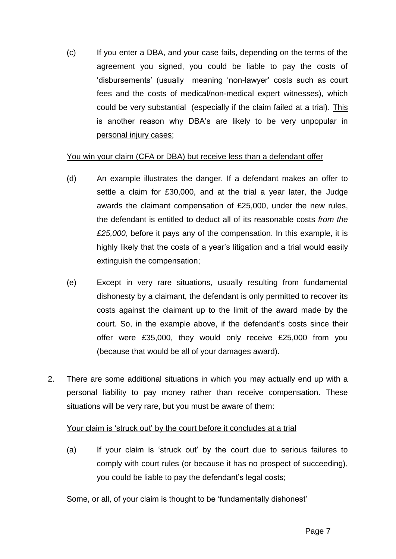(c) If you enter a DBA, and your case fails, depending on the terms of the agreement you signed, you could be liable to pay the costs of 'disbursements' (usually meaning 'non-lawyer' costs such as court fees and the costs of medical/non-medical expert witnesses), which could be very substantial (especially if the claim failed at a trial). This is another reason why DBA's are likely to be very unpopular in personal injury cases;

## You win your claim (CFA or DBA) but receive less than a defendant offer

- (d) An example illustrates the danger. If a defendant makes an offer to settle a claim for £30,000, and at the trial a year later, the Judge awards the claimant compensation of £25,000, under the new rules, the defendant is entitled to deduct all of its reasonable costs *from the £25,000*, before it pays any of the compensation. In this example, it is highly likely that the costs of a year's litigation and a trial would easily extinguish the compensation;
- (e) Except in very rare situations, usually resulting from fundamental dishonesty by a claimant, the defendant is only permitted to recover its costs against the claimant up to the limit of the award made by the court. So, in the example above, if the defendant's costs since their offer were £35,000, they would only receive £25,000 from you (because that would be all of your damages award).
- 2. There are some additional situations in which you may actually end up with a personal liability to pay money rather than receive compensation. These situations will be very rare, but you must be aware of them:

# Your claim is 'struck out' by the court before it concludes at a trial

(a) If your claim is 'struck out' by the court due to serious failures to comply with court rules (or because it has no prospect of succeeding), you could be liable to pay the defendant's legal costs;

# Some, or all, of your claim is thought to be 'fundamentally dishonest'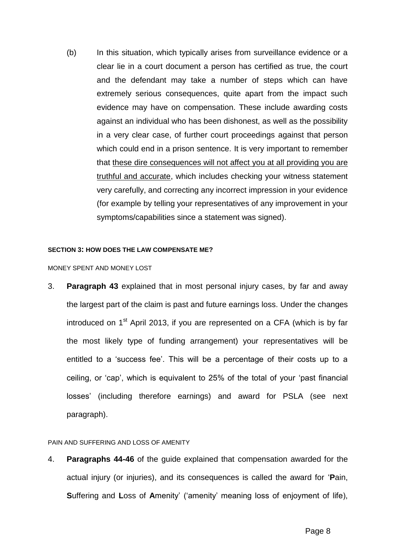(b) In this situation, which typically arises from surveillance evidence or a clear lie in a court document a person has certified as true, the court and the defendant may take a number of steps which can have extremely serious consequences, quite apart from the impact such evidence may have on compensation. These include awarding costs against an individual who has been dishonest, as well as the possibility in a very clear case, of further court proceedings against that person which could end in a prison sentence. It is very important to remember that these dire consequences will not affect you at all providing you are truthful and accurate, which includes checking your witness statement very carefully, and correcting any incorrect impression in your evidence (for example by telling your representatives of any improvement in your symptoms/capabilities since a statement was signed).

#### **SECTION 3: HOW DOES THE LAW COMPENSATE ME?**

#### MONEY SPENT AND MONEY LOST

3. **Paragraph 43** explained that in most personal injury cases, by far and away the largest part of the claim is past and future earnings loss. Under the changes introduced on  $1<sup>st</sup>$  April 2013, if you are represented on a CFA (which is by far the most likely type of funding arrangement) your representatives will be entitled to a 'success fee'. This will be a percentage of their costs up to a ceiling, or 'cap', which is equivalent to 25% of the total of your 'past financial losses' (including therefore earnings) and award for PSLA (see next paragraph).

## PAIN AND SUFFERING AND LOSS OF AMENITY

4. **Paragraphs 44-46** of the guide explained that compensation awarded for the actual injury (or injuries), and its consequences is called the award for '**P**ain, **S**uffering and **L**oss of **A**menity' ('amenity' meaning loss of enjoyment of life),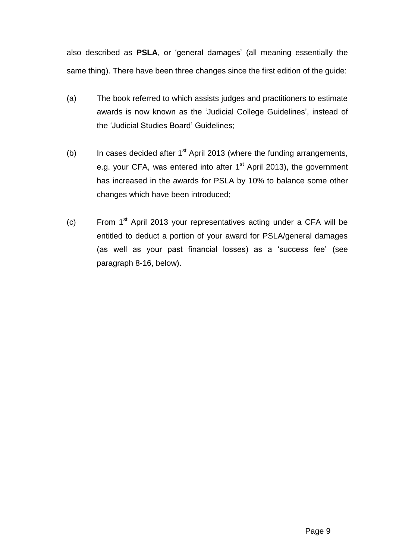also described as **PSLA**, or 'general damages' (all meaning essentially the same thing). There have been three changes since the first edition of the guide:

- (a) The book referred to which assists judges and practitioners to estimate awards is now known as the 'Judicial College Guidelines', instead of the 'Judicial Studies Board' Guidelines;
- (b) In cases decided after  $1<sup>st</sup>$  April 2013 (where the funding arrangements, e.g. your CFA, was entered into after 1<sup>st</sup> April 2013), the government has increased in the awards for PSLA by 10% to balance some other changes which have been introduced;
- (c) From  $1<sup>st</sup>$  April 2013 your representatives acting under a CFA will be entitled to deduct a portion of your award for PSLA/general damages (as well as your past financial losses) as a 'success fee' (see paragraph 8-16, below).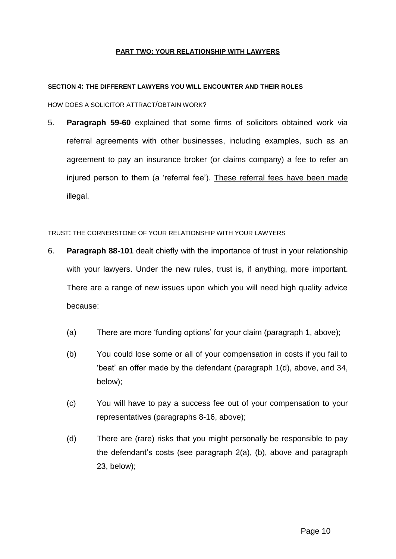## **PART TWO: YOUR RELATIONSHIP WITH LAWYERS**

#### **SECTION 4: THE DIFFERENT LAWYERS YOU WILL ENCOUNTER AND THEIR ROLES**

HOW DOES A SOLICITOR ATTRACT/OBTAIN WORK?

5. **Paragraph 59-60** explained that some firms of solicitors obtained work via referral agreements with other businesses, including examples, such as an agreement to pay an insurance broker (or claims company) a fee to refer an injured person to them (a 'referral fee'). These referral fees have been made illegal.

TRUST: THE CORNERSTONE OF YOUR RELATIONSHIP WITH YOUR LAWYERS

- 6. **Paragraph 88-101** dealt chiefly with the importance of trust in your relationship with your lawyers. Under the new rules, trust is, if anything, more important. There are a range of new issues upon which you will need high quality advice because:
	- (a) There are more 'funding options' for your claim (paragraph 1, above);
	- (b) You could lose some or all of your compensation in costs if you fail to 'beat' an offer made by the defendant (paragraph 1(d), above, and 34, below);
	- (c) You will have to pay a success fee out of your compensation to your representatives (paragraphs 8-16, above);
	- (d) There are (rare) risks that you might personally be responsible to pay the defendant's costs (see paragraph 2(a), (b), above and paragraph 23, below);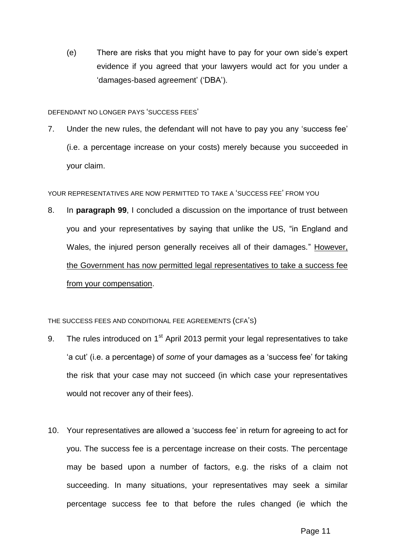(e) There are risks that you might have to pay for your own side's expert evidence if you agreed that your lawyers would act for you under a 'damages-based agreement' ('DBA').

#### DEFENDANT NO LONGER PAYS 'SUCCESS FEES'

7. Under the new rules, the defendant will not have to pay you any 'success fee' (i.e. a percentage increase on your costs) merely because you succeeded in your claim.

## YOUR REPRESENTATIVES ARE NOW PERMITTED TO TAKE A 'SUCCESS FEE' FROM YOU

8. In **paragraph 99**, I concluded a discussion on the importance of trust between you and your representatives by saying that unlike the US, "in England and Wales, the injured person generally receives all of their damages." However, the Government has now permitted legal representatives to take a success fee from your compensation.

## THE SUCCESS FEES AND CONDITIONAL FEE AGREEMENTS (CFA'S)

- 9. The rules introduced on 1<sup>st</sup> April 2013 permit your legal representatives to take 'a cut' (i.e. a percentage) of *some* of your damages as a 'success fee' for taking the risk that your case may not succeed (in which case your representatives would not recover any of their fees).
- 10. Your representatives are allowed a 'success fee' in return for agreeing to act for you. The success fee is a percentage increase on their costs. The percentage may be based upon a number of factors, e.g. the risks of a claim not succeeding. In many situations, your representatives may seek a similar percentage success fee to that before the rules changed (ie which the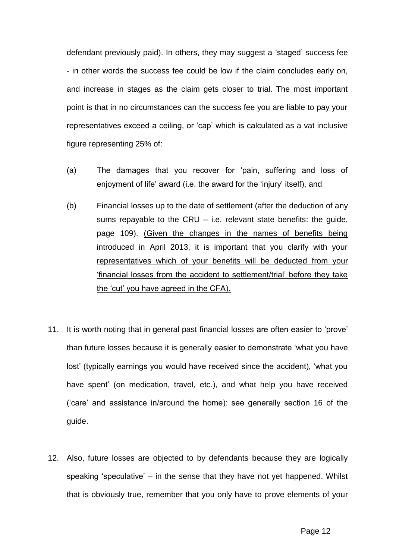defendant previously paid). In others, they may suggest a 'staged' success fee - in other words the success fee could be low if the claim concludes early on, and increase in stages as the claim gets closer to trial. The most important point is that in no circumstances can the success fee you are liable to pay your representatives exceed a ceiling, or 'cap' which is calculated as a vat inclusive figure representing 25% of:

- (a) The damages that you recover for 'pain, suffering and loss of enjoyment of life' award (i.e. the award for the 'injury' itself), and
- (b) Financial losses up to the date of settlement (after the deduction of any sums repayable to the CRU – i.e. relevant state benefits: the guide, page 109). (Given the changes in the names of benefits being introduced in April 2013, it is important that you clarify with your representatives which of your benefits will be deducted from your 'financial losses from the accident to settlement/trial' before they take the 'cut' you have agreed in the CFA).
- 11. It is worth noting that in general past financial losses are often easier to 'prove' than future losses because it is generally easier to demonstrate 'what you have lost' (typically earnings you would have received since the accident), 'what you have spent' (on medication, travel, etc.), and what help you have received ('care' and assistance in/around the home): see generally section 16 of the guide.
- 12. Also, future losses are objected to by defendants because they are logically speaking 'speculative' – in the sense that they have not yet happened. Whilst that is obviously true, remember that you only have to prove elements of your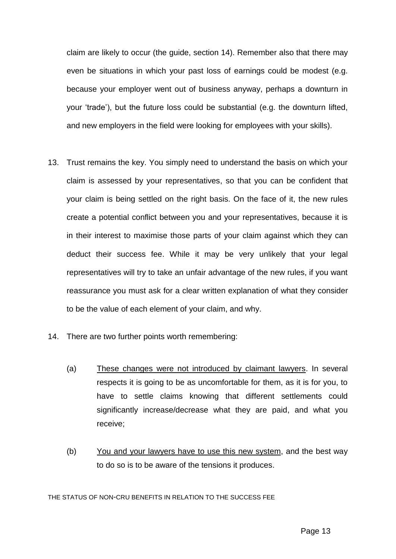claim are likely to occur (the guide, section 14). Remember also that there may even be situations in which your past loss of earnings could be modest (e.g. because your employer went out of business anyway, perhaps a downturn in your 'trade'), but the future loss could be substantial (e.g. the downturn lifted, and new employers in the field were looking for employees with your skills).

- 13. Trust remains the key. You simply need to understand the basis on which your claim is assessed by your representatives, so that you can be confident that your claim is being settled on the right basis. On the face of it, the new rules create a potential conflict between you and your representatives, because it is in their interest to maximise those parts of your claim against which they can deduct their success fee. While it may be very unlikely that your legal representatives will try to take an unfair advantage of the new rules, if you want reassurance you must ask for a clear written explanation of what they consider to be the value of each element of your claim, and why.
- 14. There are two further points worth remembering:
	- (a) These changes were not introduced by claimant lawyers. In several respects it is going to be as uncomfortable for them, as it is for you, to have to settle claims knowing that different settlements could significantly increase/decrease what they are paid, and what you receive;
	- (b) You and your lawyers have to use this new system, and the best way to do so is to be aware of the tensions it produces.

THE STATUS OF NON-CRU BENEFITS IN RELATION TO THE SUCCESS FEE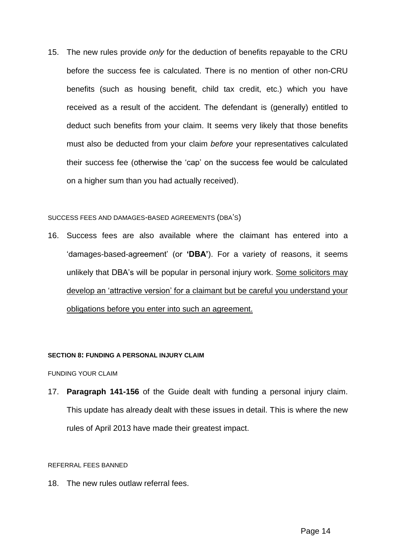15. The new rules provide *only* for the deduction of benefits repayable to the CRU before the success fee is calculated. There is no mention of other non-CRU benefits (such as housing benefit, child tax credit, etc.) which you have received as a result of the accident. The defendant is (generally) entitled to deduct such benefits from your claim. It seems very likely that those benefits must also be deducted from your claim *before* your representatives calculated their success fee (otherwise the 'cap' on the success fee would be calculated on a higher sum than you had actually received).

#### SUCCESS FEES AND DAMAGES-BASED AGREEMENTS (DBA'S)

16. Success fees are also available where the claimant has entered into a 'damages-based-agreement' (or **'DBA'**). For a variety of reasons, it seems unlikely that DBA's will be popular in personal injury work. Some solicitors may develop an 'attractive version' for a claimant but be careful you understand your obligations before you enter into such an agreement.

#### **SECTION 8: FUNDING A PERSONAL INJURY CLAIM**

FUNDING YOUR CLAIM

17. **Paragraph 141-156** of the Guide dealt with funding a personal injury claim. This update has already dealt with these issues in detail. This is where the new rules of April 2013 have made their greatest impact.

#### REFERRAL FEES BANNED

18. The new rules outlaw referral fees.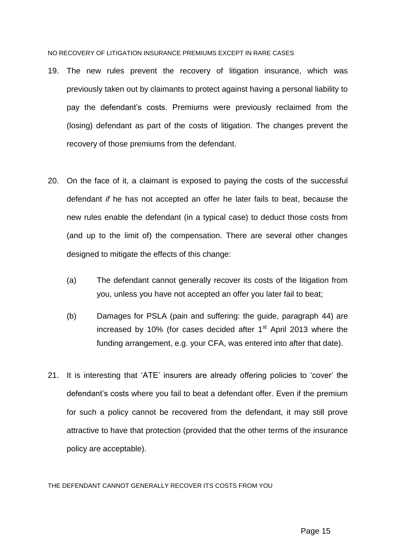NO RECOVERY OF LITIGATION INSURANCE PREMIUMS EXCEPT IN RARE CASES

- 19. The new rules prevent the recovery of litigation insurance, which was previously taken out by claimants to protect against having a personal liability to pay the defendant's costs. Premiums were previously reclaimed from the (losing) defendant as part of the costs of litigation. The changes prevent the recovery of those premiums from the defendant.
- 20. On the face of it, a claimant is exposed to paying the costs of the successful defendant *if* he has not accepted an offer he later fails to beat, because the new rules enable the defendant (in a typical case) to deduct those costs from (and up to the limit of) the compensation. There are several other changes designed to mitigate the effects of this change:
	- (a) The defendant cannot generally recover its costs of the litigation from you, unless you have not accepted an offer you later fail to beat;
	- (b) Damages for PSLA (pain and suffering: the guide, paragraph 44) are increased by 10% (for cases decided after  $1<sup>st</sup>$  April 2013 where the funding arrangement, e.g. your CFA, was entered into after that date).
- 21. It is interesting that 'ATE' insurers are already offering policies to 'cover' the defendant's costs where you fail to beat a defendant offer. Even if the premium for such a policy cannot be recovered from the defendant, it may still prove attractive to have that protection (provided that the other terms of the insurance policy are acceptable).

THE DEFENDANT CANNOT GENERALLY RECOVER ITS COSTS FROM YOU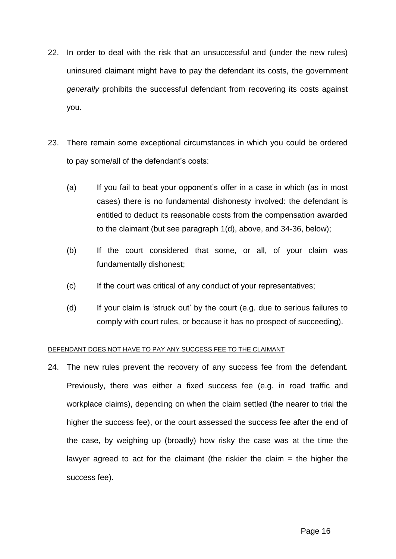- 22. In order to deal with the risk that an unsuccessful and (under the new rules) uninsured claimant might have to pay the defendant its costs, the government *generally* prohibits the successful defendant from recovering its costs against you.
- 23. There remain some exceptional circumstances in which you could be ordered to pay some/all of the defendant's costs:
	- (a) If you fail to beat your opponent's offer in a case in which (as in most cases) there is no fundamental dishonesty involved: the defendant is entitled to deduct its reasonable costs from the compensation awarded to the claimant (but see paragraph 1(d), above, and 34-36, below);
	- (b) If the court considered that some, or all, of your claim was fundamentally dishonest;
	- (c) If the court was critical of any conduct of your representatives;
	- (d) If your claim is 'struck out' by the court (e.g. due to serious failures to comply with court rules, or because it has no prospect of succeeding).

## DEFENDANT DOES NOT HAVE TO PAY ANY SUCCESS FEE TO THE CLAIMANT

24. The new rules prevent the recovery of any success fee from the defendant. Previously, there was either a fixed success fee (e.g. in road traffic and workplace claims), depending on when the claim settled (the nearer to trial the higher the success fee), or the court assessed the success fee after the end of the case, by weighing up (broadly) how risky the case was at the time the lawyer agreed to act for the claimant (the riskier the claim  $=$  the higher the success fee).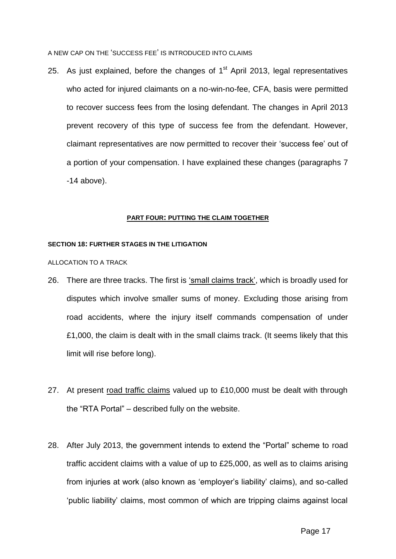A NEW CAP ON THE 'SUCCESS FEE' IS INTRODUCED INTO CLAIMS

25. As just explained, before the changes of  $1<sup>st</sup>$  April 2013, legal representatives who acted for injured claimants on a no-win-no-fee, CFA, basis were permitted to recover success fees from the losing defendant. The changes in April 2013 prevent recovery of this type of success fee from the defendant. However, claimant representatives are now permitted to recover their 'success fee' out of a portion of your compensation. I have explained these changes (paragraphs 7 -14 above).

#### **PART FOUR: PUTTING THE CLAIM TOGETHER**

#### **SECTION 18: FURTHER STAGES IN THE LITIGATION**

ALLOCATION TO A TRACK

- 26. There are three tracks. The first is 'small claims track', which is broadly used for disputes which involve smaller sums of money. Excluding those arising from road accidents, where the injury itself commands compensation of under £1,000, the claim is dealt with in the small claims track. (It seems likely that this limit will rise before long).
- 27. At present road traffic claims valued up to £10,000 must be dealt with through the "RTA Portal" – described fully on the website.
- 28. After July 2013, the government intends to extend the "Portal" scheme to road traffic accident claims with a value of up to £25,000, as well as to claims arising from injuries at work (also known as 'employer's liability' claims), and so-called 'public liability' claims, most common of which are tripping claims against local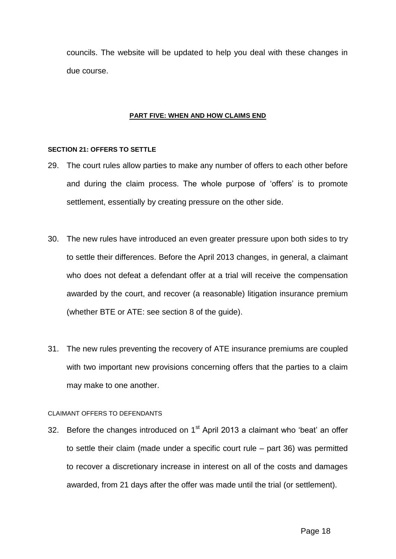councils. The website will be updated to help you deal with these changes in due course.

#### **PART FIVE: WHEN AND HOW CLAIMS END**

## **SECTION 21: OFFERS TO SETTLE**

- 29. The court rules allow parties to make any number of offers to each other before and during the claim process. The whole purpose of 'offers' is to promote settlement, essentially by creating pressure on the other side.
- 30. The new rules have introduced an even greater pressure upon both sides to try to settle their differences. Before the April 2013 changes, in general, a claimant who does not defeat a defendant offer at a trial will receive the compensation awarded by the court, and recover (a reasonable) litigation insurance premium (whether BTE or ATE: see section 8 of the guide).
- 31. The new rules preventing the recovery of ATE insurance premiums are coupled with two important new provisions concerning offers that the parties to a claim may make to one another.

#### CLAIMANT OFFERS TO DEFENDANTS

32. Before the changes introduced on  $1<sup>st</sup>$  April 2013 a claimant who 'beat' an offer to settle their claim (made under a specific court rule – part 36) was permitted to recover a discretionary increase in interest on all of the costs and damages awarded, from 21 days after the offer was made until the trial (or settlement).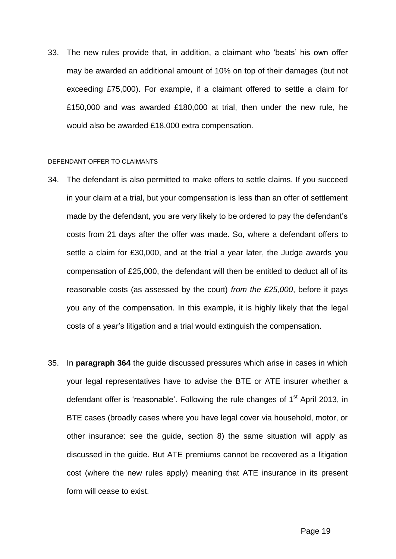33. The new rules provide that, in addition, a claimant who 'beats' his own offer may be awarded an additional amount of 10% on top of their damages (but not exceeding £75,000). For example, if a claimant offered to settle a claim for £150,000 and was awarded £180,000 at trial, then under the new rule, he would also be awarded £18,000 extra compensation.

#### DEFENDANT OFFER TO CLAIMANTS

- 34. The defendant is also permitted to make offers to settle claims. If you succeed in your claim at a trial, but your compensation is less than an offer of settlement made by the defendant, you are very likely to be ordered to pay the defendant's costs from 21 days after the offer was made. So, where a defendant offers to settle a claim for £30,000, and at the trial a year later, the Judge awards you compensation of £25,000, the defendant will then be entitled to deduct all of its reasonable costs (as assessed by the court) *from the £25,000*, before it pays you any of the compensation. In this example, it is highly likely that the legal costs of a year's litigation and a trial would extinguish the compensation.
- 35. In **paragraph 364** the guide discussed pressures which arise in cases in which your legal representatives have to advise the BTE or ATE insurer whether a defendant offer is 'reasonable'. Following the rule changes of  $1<sup>st</sup>$  April 2013, in BTE cases (broadly cases where you have legal cover via household, motor, or other insurance: see the guide, section 8) the same situation will apply as discussed in the guide. But ATE premiums cannot be recovered as a litigation cost (where the new rules apply) meaning that ATE insurance in its present form will cease to exist.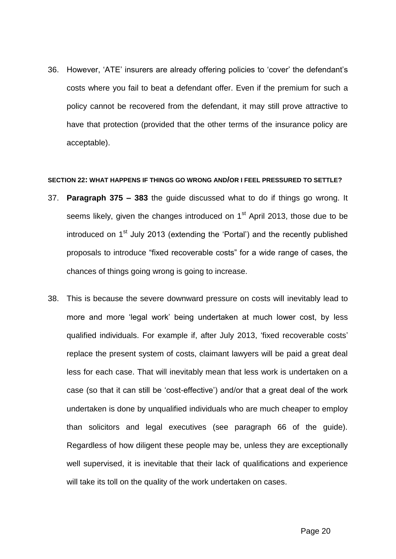36. However, 'ATE' insurers are already offering policies to 'cover' the defendant's costs where you fail to beat a defendant offer. Even if the premium for such a policy cannot be recovered from the defendant, it may still prove attractive to have that protection (provided that the other terms of the insurance policy are acceptable).

## **SECTION 22: WHAT HAPPENS IF THINGS GO WRONG AND/OR I FEEL PRESSURED TO SETTLE?**

- 37. **Paragraph 375 – 383** the guide discussed what to do if things go wrong. It seems likely, given the changes introduced on 1<sup>st</sup> April 2013, those due to be introduced on  $1<sup>st</sup>$  July 2013 (extending the 'Portal') and the recently published proposals to introduce "fixed recoverable costs" for a wide range of cases, the chances of things going wrong is going to increase.
- 38. This is because the severe downward pressure on costs will inevitably lead to more and more 'legal work' being undertaken at much lower cost, by less qualified individuals. For example if, after July 2013, 'fixed recoverable costs' replace the present system of costs, claimant lawyers will be paid a great deal less for each case. That will inevitably mean that less work is undertaken on a case (so that it can still be 'cost-effective') and/or that a great deal of the work undertaken is done by unqualified individuals who are much cheaper to employ than solicitors and legal executives (see paragraph 66 of the guide). Regardless of how diligent these people may be, unless they are exceptionally well supervised, it is inevitable that their lack of qualifications and experience will take its toll on the quality of the work undertaken on cases.